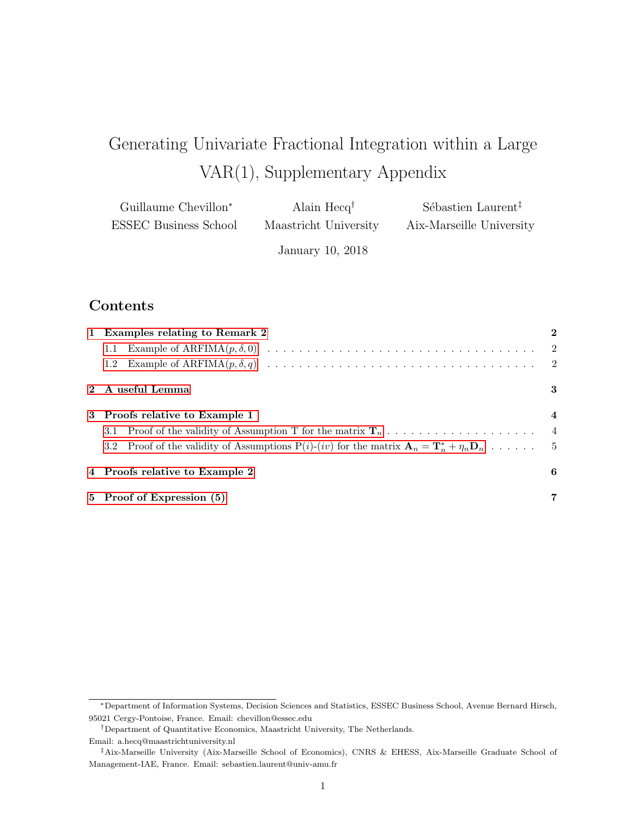# Generating Univariate Fractional Integration within a Large VAR(1), Supplementary Appendix

| Guillaume Chevillon <sup>*</sup> | Alain $Hecq^{\dagger}$ | Sébastien Laurent <sup>†</sup> |
|----------------------------------|------------------------|--------------------------------|
| ESSEC Business School            | Maastricht University  | Aix-Marseille University       |

January 10, 2018

# Contents

| 1 Examples relating to Remark 2                                                                                      |                |
|----------------------------------------------------------------------------------------------------------------------|----------------|
| 1.1                                                                                                                  |                |
| 1.2                                                                                                                  |                |
| 2 A useful Lemma                                                                                                     | 3              |
| 3 Proofs relative to Example 1                                                                                       | 4              |
| Proof of the validity of Assumption T for the matrix $\mathbf{T}_n \dots \dots \dots \dots \dots \dots \dots$<br>3.1 |                |
| 3.2 Proof of the validity of Assumptions $P(i)-(iv)$ for the matrix $A_n = T_n^* + \eta_n D_n \dots$ .               |                |
| 4 Proofs relative to Example 2                                                                                       | 6              |
| 5 Proof of Expression (5)                                                                                            | $\overline{7}$ |

<sup>∗</sup>Department of Information Systems, Decision Sciences and Statistics, ESSEC Business School, Avenue Bernard Hirsch, 95021 Cergy-Pontoise, France. Email: chevillon@essec.edu

 $^\dagger$ Department of Quantitative Economics, Maastricht University, The Netherlands.

Email: a.hecq@maastrichtuniversity.nl

<sup>‡</sup>Aix-Marseille University (Aix-Marseille School of Economics), CNRS & EHESS, Aix-Marseille Graduate School of Management-IAE, France. Email: sebastien.laurent@univ-amu.fr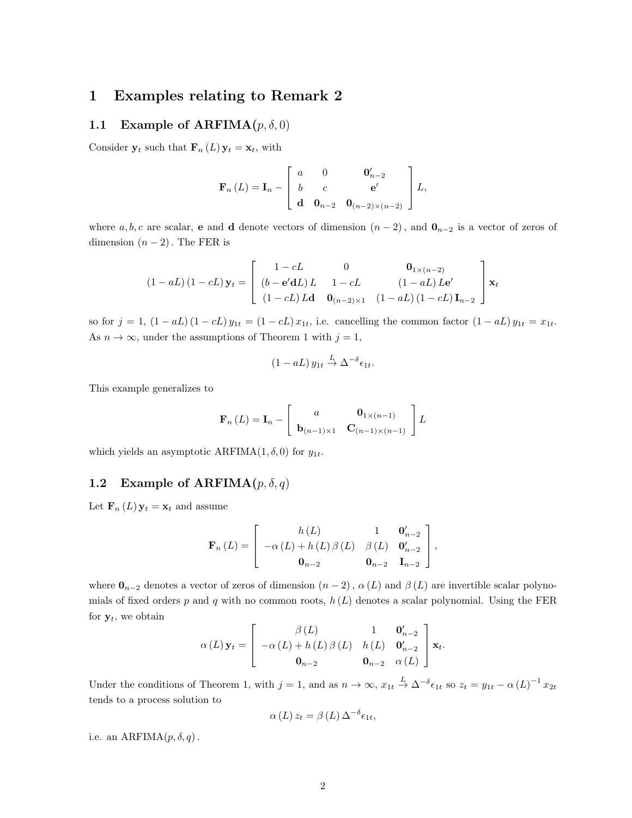## <span id="page-1-0"></span>1 Examples relating to Remark 2

### <span id="page-1-1"></span>1.1 Example of ARFIMA $(p, \delta, 0)$

Consider  $y_t$  such that  $\mathbf{F}_n(L) y_t = x_t$ , with

$$
\mathbf{F}_n(L) = \mathbf{I}_n - \begin{bmatrix} a & 0 & \mathbf{0}'_{n-2} \\ b & c & \mathbf{e}' \\ \mathbf{d} & \mathbf{0}_{n-2} & \mathbf{0}_{(n-2)\times(n-2)} \end{bmatrix} L,
$$

where a, b, c are scalar, e and d denote vectors of dimension  $(n-2)$ , and  $\mathbf{0}_{n-2}$  is a vector of zeros of dimension  $(n-2)$ . The FER is

$$
(1 - aL) (1 - cL) \mathbf{y}_t = \begin{bmatrix} 1 - cL & 0 & \mathbf{0}_{1 \times (n-2)} \\ (b - \mathbf{e}'\mathbf{d}L) L & 1 - cL & (1 - aL) L\mathbf{e}' \\ (1 - cL) L\mathbf{d} & \mathbf{0}_{(n-2) \times 1} & (1 - aL) (1 - cL) \mathbf{I}_{n-2} \end{bmatrix} \mathbf{x}_t
$$

so for  $j = 1$ ,  $(1 - aL)(1 - cL)y_{1t} = (1 - cL)x_{1t}$ , i.e. cancelling the common factor  $(1 - aL)y_{1t} = x_{1t}$ . As  $n \to \infty$ , under the assumptions of Theorem 1 with  $j = 1$ ,

$$
(1 - aL) y_{1t} \stackrel{L}{\to} \Delta^{-\delta} \epsilon_{1t}.
$$

This example generalizes to

$$
\mathbf{F}_n(L) = \mathbf{I}_n - \begin{bmatrix} a & \mathbf{0}_{1 \times (n-1)} \\ \mathbf{b}_{(n-1) \times 1} & \mathbf{C}_{(n-1) \times (n-1)} \end{bmatrix} L
$$

which yields an asymptotic ARFIMA(1,  $\delta$ , 0) for  $y_{1t}$ .

### <span id="page-1-2"></span>1.2 Example of ARFIMA $(p, \delta, q)$

Let  $\mathbf{F}_n(L) \mathbf{y}_t = \mathbf{x}_t$  and assume

$$
\mathbf{F}_n(L) = \begin{bmatrix} h(L) & 1 & \mathbf{0}_{n-2}' \\ -\alpha(L) + h(L)\beta(L) & \beta(L) & \mathbf{0}_{n-2}' \\ \mathbf{0}_{n-2} & \mathbf{0}_{n-2} & \mathbf{I}_{n-2} \end{bmatrix},
$$

where  $\mathbf{0}_{n-2}$  denotes a vector of zeros of dimension  $(n-2)$ ,  $\alpha(L)$  and  $\beta(L)$  are invertible scalar polynomials of fixed orders p and q with no common roots,  $h(L)$  denotes a scalar polynomial. Using the FER for  $y_t$ , we obtain

$$
\alpha(L)\mathbf{y}_{t} = \begin{bmatrix} \beta(L) & 1 & \mathbf{0}_{n-2}' \\ -\alpha(L) + h(L) \beta(L) & h(L) & \mathbf{0}_{n-2}' \\ \mathbf{0}_{n-2} & \mathbf{0}_{n-2} & \alpha(L) \end{bmatrix} \mathbf{x}_{t}.
$$

Under the conditions of Theorem 1, with  $j = 1$ , and as  $n \to \infty$ ,  $x_{1t} \stackrel{L}{\to} \Delta^{-\delta} \epsilon_{1t}$  so  $z_t = y_{1t} - \alpha (L)^{-1} x_{2t}$ tends to a process solution to

$$
\alpha(L) z_t = \beta(L) \Delta^{-\delta} \epsilon_{1t},
$$

i.e. an ARFIMA $(p, \delta, q)$ .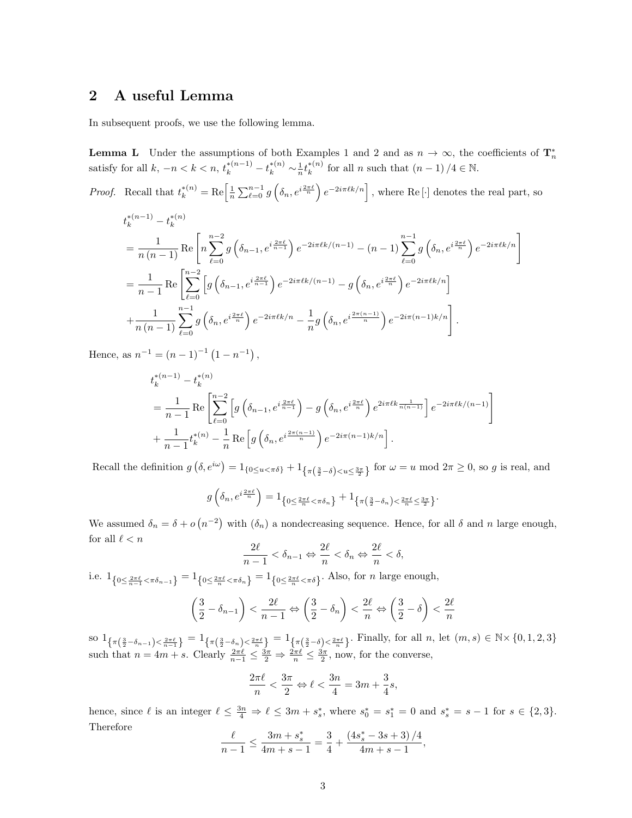# <span id="page-2-0"></span>2 A useful Lemma

In subsequent proofs, we use the following lemma.

**Lemma L** Under the assumptions of both Examples 1 and 2 and as  $n \to \infty$ , the coefficients of  $\mathbf{T}_n^*$ satisfy for all  $k, -n < k < n$ ,  $t_k^{*(n-1)} - t_k^{*(n)} \sim \frac{1}{n} t_k^{*(n)}$  $\binom{*(n)}{k}$  for all *n* such that  $(n-1)/4 \in \mathbb{N}$ .

*Proof.* Recall that  $t_k^{*(n)} = \text{Re}\left[\frac{1}{n}\sum_{\ell=0}^{n-1}g\left(\delta_n, e^{i\frac{2\pi\ell}{n}}\right)e^{-2i\pi\ell k/n}\right]$ , where Re [·] denotes the real part, so

$$
t_k^{*(n-1)} - t_k^{*(n)}
$$
  
=  $\frac{1}{n(n-1)}$  Re  $\left[ n \sum_{\ell=0}^{n-2} g\left(\delta_{n-1}, e^{i \frac{2\pi \ell}{n-1}}\right) e^{-2i\pi \ell k/(n-1)} - (n-1) \sum_{\ell=0}^{n-1} g\left(\delta_n, e^{i \frac{2\pi \ell}{n}}\right) e^{-2i\pi \ell k/n} \right]$   
=  $\frac{1}{n-1}$  Re  $\left[ \sum_{\ell=0}^{n-2} \left[ g\left(\delta_{n-1}, e^{i \frac{2\pi \ell}{n-1}}\right) e^{-2i\pi \ell k/(n-1)} - g\left(\delta_n, e^{i \frac{2\pi \ell}{n}}\right) e^{-2i\pi \ell k/n} \right] + \frac{1}{n(n-1)} \sum_{\ell=0}^{n-1} g\left(\delta_n, e^{i \frac{2\pi \ell}{n}}\right) e^{-2i\pi \ell k/n} - \frac{1}{n} g\left(\delta_n, e^{i \frac{2\pi (n-1)}{n}}\right) e^{-2i\pi (n-1)k/n} \right].$ 

Hence, as  $n^{-1} = (n-1)^{-1} (1 - n^{-1}),$ 

$$
t_k^{*(n-1)} - t_k^{*(n)}
$$
  
=  $\frac{1}{n-1}$  Re  $\left[ \sum_{\ell=0}^{n-2} \left[ g\left(\delta_{n-1}, e^{i\frac{2\pi\ell}{n-1}}\right) - g\left(\delta_n, e^{i\frac{2\pi\ell}{n}}\right) e^{2i\pi\ell k \frac{1}{n(n-1)}} \right] e^{-2i\pi\ell k/(n-1)} \right]$   
+  $\frac{1}{n-1} t_k^{*(n)} - \frac{1}{n}$  Re  $\left[ g\left(\delta_n, e^{i\frac{2\pi(n-1)}{n}}\right) e^{-2i\pi(n-1)k/n} \right].$ 

Recall the definition  $g\left(\delta, e^{i\omega}\right) = 1_{\{0 \le u < \pi\delta\}} + 1_{\left\{\pi\left(\frac{3}{2}-\delta\right) < u \le \frac{3\pi}{2}\right\}}$  for  $\omega = u \mod 2\pi \ge 0$ , so g is real, and

$$
g\left(\delta_n, e^{i\frac{2\pi\ell}{n}}\right) = 1_{\left\{0 \leq \frac{2\pi\ell}{n} < \pi\delta_n\right\}} + 1_{\left\{\pi\left(\frac{3}{2} - \delta_n\right) < \frac{2\pi\ell}{n} \leq \frac{3\pi}{2}\right\}}.
$$

We assumed  $\delta_n = \delta + o(n^{-2})$  with  $(\delta_n)$  a nondecreasing sequence. Hence, for all  $\delta$  and n large enough, for all  $\ell < n$ 

$$
\frac{2\ell}{n-1} < \delta_{n-1} \Leftrightarrow \frac{2\ell}{n} < \delta_n \Leftrightarrow \frac{2\ell}{n} < \delta,
$$

i.e.  $1_{\left\{0 \leq \frac{2\pi\ell}{n-1} < \pi\delta_{n-1}\right\}} = 1_{\left\{0 \leq \frac{2\pi\ell}{n} < \pi\delta_n\right\}} = 1_{\left\{0 \leq \frac{2\pi\ell}{n} < \pi\delta\right\}}$ . Also, for *n* large enough,

$$
\left(\frac{3}{2} - \delta_{n-1}\right) < \frac{2\ell}{n-1} \Leftrightarrow \left(\frac{3}{2} - \delta_n\right) < \frac{2\ell}{n} \Leftrightarrow \left(\frac{3}{2} - \delta\right) < \frac{2\ell}{n}
$$

so  $1_{\{\pi(\frac{3}{2}-\delta_{n-1})\leq \frac{2\pi\ell}{n-1}\}} = 1_{\{\pi(\frac{3}{2}-\delta_n)\leq \frac{2\pi\ell}{n}\}} = 1_{\{\pi(\frac{3}{2}-\delta)\leq \frac{2\pi\ell}{n}\}}$ . Finally, for all n, let  $(m, s) \in \mathbb{N} \times \{0, 1, 2, 3\}$ such that  $n = 4m + s$ . Clearly  $\frac{2\pi\ell}{n-1} \leq \frac{3\pi}{2} \Rightarrow \frac{2\pi\ell}{n} \leq \frac{3\pi}{2}$ , now, for the converse,

$$
\frac{2\pi\ell}{n} < \frac{3\pi}{2} \Leftrightarrow \ell < \frac{3n}{4} = 3m + \frac{3}{4}s,
$$

hence, since  $\ell$  is an integer  $\ell \leq \frac{3n}{4} \Rightarrow \ell \leq 3m + s_s^*$ , where  $s_0^* = s_1^* = 0$  and  $s_s^* = s - 1$  for  $s \in \{2,3\}$ . Therefore

$$
\frac{\ell}{n-1} \le \frac{3m+s_s^*}{4m+s-1} = \frac{3}{4} + \frac{\left(4s_s^* - 3s + 3\right)/4}{4m+s-1},
$$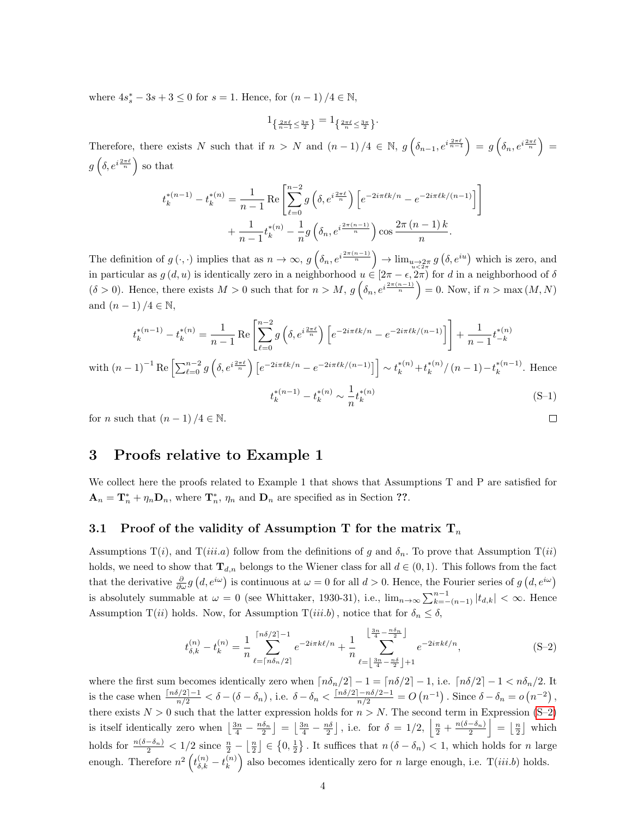where  $4s_s^* - 3s + 3 \le 0$  for  $s = 1$ . Hence, for  $(n - 1)/4 \in \mathbb{N}$ ,

$$
\mathbf{1}_{\left\{\frac{2\pi\ell}{n-1}\leq\frac{3\pi}{2}\right\}}=\mathbf{1}_{\left\{\frac{2\pi\ell}{n}\leq\frac{3\pi}{2}\right\}}.
$$

Therefore, there exists N such that if  $n > N$  and  $(n-1)/4 \in \mathbb{N}$ ,  $g\left(\delta_{n-1}, e^{i\frac{2\pi\ell}{n-1}}\right) = g\left(\delta_n, e^{i\frac{2\pi\ell}{n}}\right) =$  $g\left(\delta,e^{i\frac{2\pi\ell}{n}}\right)$  so that

1

 $\Box$ 

$$
t_k^{*(n-1)} - t_k^{*(n)} = \frac{1}{n-1} \operatorname{Re} \left[ \sum_{\ell=0}^{n-2} g\left(\delta, e^{i\frac{2\pi\ell}{n}}\right) \left[ e^{-2i\pi\ell k/n} - e^{-2i\pi\ell k/(n-1)} \right] + \frac{1}{n-1} t_k^{*(n)} - \frac{1}{n} g\left(\delta_n, e^{i\frac{2\pi(n-1)}{n}}\right) \cos \frac{2\pi (n-1) k}{n}.
$$

The definition of  $g(\cdot, \cdot)$  implies that as  $n \to \infty$ ,  $g\left(\delta_n, e^{i\frac{2\pi(n-1)}{n}}\right) \to \lim_{\substack{u \to 2\pi \\ u \leq 2\pi}} g\left(\delta, e^{iu}\right)$  which is zero, and in particular as  $g(d, u)$  is identically zero in a neighborhood  $u \in [2\pi - \epsilon, 2\pi)$  for d in a neighborhood of  $\delta$  $(\delta > 0)$ . Hence, there exists  $M > 0$  such that for  $n > M$ ,  $g\left(\delta_n, e^{i\frac{2\pi(n-1)}{n}}\right) = 0$ . Now, if  $n > \max(M, N)$ and  $(n-1)/4 \in \mathbb{N}$ ,

$$
t_k^{*(n-1)} - t_k^{*(n)} = \frac{1}{n-1} \operatorname{Re} \left[ \sum_{\ell=0}^{n-2} g\left(\delta, e^{i\frac{2\pi\ell}{n}}\right) \left[ e^{-2i\pi\ell k/n} - e^{-2i\pi\ell k/(n-1)} \right] \right] + \frac{1}{n-1} t_{-k}^{*(n)}
$$
  
with  $(n-1)^{-1} \operatorname{Re} \left[ \sum_{\ell=0}^{n-2} g\left(\delta, e^{i\frac{2\pi\ell}{n}}\right) \left[ e^{-2i\pi\ell k/n} - e^{-2i\pi\ell k/(n-1)} \right] \right] \sim t_k^{*(n)} + t_k^{*(n)}/(n-1) - t_k^{*(n-1)}$ . Hence  

$$
t_k^{*(n-1)} - t_k^{*(n)} \sim \frac{1}{n} t_k^{*(n)}
$$
(S-1)

for *n* such that  $(n-1)/4 \in \mathbb{N}$ .

# <span id="page-3-0"></span>3 Proofs relative to Example 1

We collect here the proofs related to Example 1 that shows that Assumptions T and P are satisfied for  $\mathbf{A}_n = \mathbf{T}_n^* + \eta_n \mathbf{D}_n$ , where  $\mathbf{T}_n^*$ ,  $\eta_n$  and  $\mathbf{D}_n$  are specified as in Section ??.

#### <span id="page-3-1"></span>3.1 Proof of the validity of Assumption T for the matrix  $T_n$

Assumptions  $T(i)$ , and  $T(iii.a)$  follow from the definitions of g and  $\delta_n$ . To prove that Assumption  $T(ii)$ holds, we need to show that  $\mathbf{T}_{d,n}$  belongs to the Wiener class for all  $d \in (0,1)$ . This follows from the fact that the derivative  $\frac{\partial}{\partial \omega} g(d, e^{i\omega})$  is continuous at  $\omega = 0$  for all  $d > 0$ . Hence, the Fourier series of  $g(d, e^{i\omega})$ is absolutely summable at  $\omega = 0$  (see Whittaker, 1930-31), i.e.,  $\lim_{n\to\infty} \sum_{k=-n-1}^{n-1} |t_{d,k}| < \infty$ . Hence Assumption T(ii) holds. Now, for Assumption T(iii.b), notice that for  $\delta_n \leq \delta$ ,

<span id="page-3-2"></span>
$$
t_{\delta,k}^{(n)} - t_k^{(n)} = \frac{1}{n} \sum_{\ell=\lceil n\delta_n/2 \rceil}^{\lceil n\delta/2 \rceil - 1} e^{-2i\pi k\ell/n} + \frac{1}{n} \sum_{\ell=\lfloor \frac{3n}{4} - \frac{n\delta}{2} \rfloor}^{\lfloor \frac{3n}{4} - \frac{n\delta}{2} \rfloor} e^{-2i\pi k\ell/n}, \tag{S-2}
$$

where the first sum becomes identically zero when  $\lceil n\delta_n/2 \rceil - 1 = \lceil n\delta/2 \rceil - 1$ , i.e.  $\lceil n\delta/2 \rceil - 1 < n\delta_n/2$ . It is the case when  $\frac{\lceil n\delta/2\rceil-1}{n/2}<\delta-(\delta-\delta_n)$ , i.e.  $\delta-\delta_n<\frac{\lceil n\delta/2\rceil-n\delta/2-1}{n/2}=O\left(n^{-1}\right)$ . Since  $\delta-\delta_n=o\left(n^{-2}\right)$ , there exists  $N > 0$  such that the latter expression holds for  $n > N$ . The second term in Expression [\(S–2\)](#page-3-2) is itself identically zero when  $\left\lfloor \frac{3n}{4} - \frac{n\delta_n}{2} \right\rfloor = \left\lfloor \frac{3n}{4} - \frac{n\delta}{2} \right\rfloor$ , i.e. for  $\delta = 1/2$ ,  $\left\lfloor \frac{n}{2} + \frac{n(\delta - \delta_n)}{2} \right\rfloor = \left\lfloor \frac{n}{2} \right\rfloor$  which holds for  $\frac{n(\delta-\delta_n)}{2} < 1/2$  since  $\frac{n}{2}-\left\lfloor \frac{n}{2}\right\rfloor \in \left\{0,\frac{1}{2}\right\}$ . It suffices that  $n(\delta-\delta_n) < 1$ , which holds for n large enough. Therefore  $n^2 \left(t_{\delta,k}^{(n)} - t_k^{(n)}\right)$  $\binom{n}{k}$  also becomes identically zero for n large enough, i.e.  $T(iii.b)$  holds.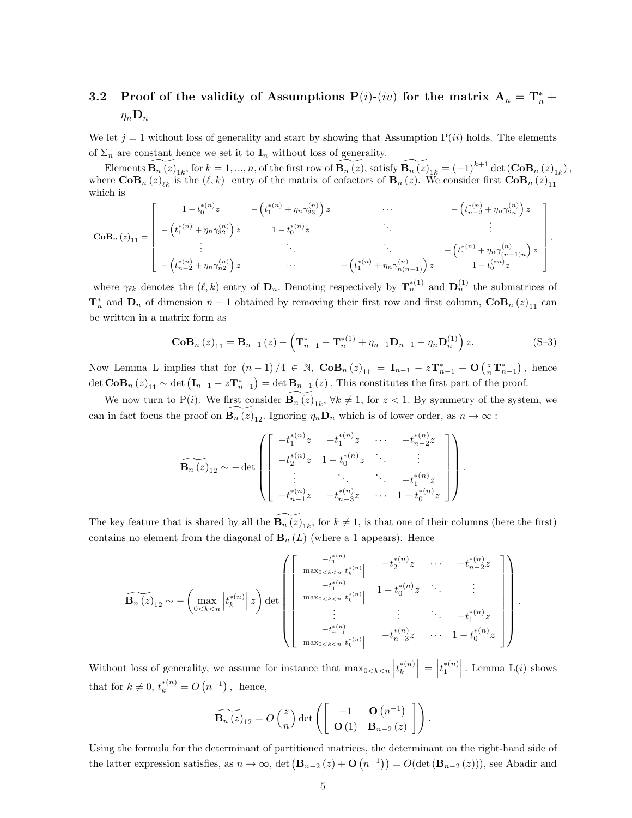# <span id="page-4-0"></span>3.2 Proof of the validity of Assumptions P(i)-(iv) for the matrix  $A_n = T_n^* +$  $\eta_n \mathbf{D}_n$

We let  $j = 1$  without loss of generality and start by showing that Assumption  $P(ii)$  holds. The elements of  $\Sigma_n$  are constant hence we set it to  $\mathbf{I}_n$  without loss of generality.

Elements  $\widetilde{\mathbf{B}_{n}(z)}_{1k}$ , for  $k = 1, ..., n$ , of the first row of  $\widetilde{\mathbf{B}_{n}(z)}$ , satisfy  $\widetilde{\mathbf{B}_{n}(z)}_{1k} = (-1)^{k+1} \det (\mathbf{CoB}_{n}(z)_{1k}),$ where  $\text{CoB}_n(z)_{\ell k}$  is the  $(\ell, k)$  entry of the matrix of cofactors of  $\text{B}_n(z)$ . We consider first  $\text{CoB}_n(z)_{11}$ which is

$$
\mathbf{CoB}_{n}(z)_{11} = \begin{bmatrix} 1 - t_{0}^{*(n)} z & - (t_{1}^{*(n)} + \eta_{n} \gamma_{23}^{(n)}) z & \cdots & - (t_{n-2}^{*(n)} + \eta_{n} \gamma_{2n}^{(n)}) z \\ - (t_{1}^{*(n)} + \eta_{n} \gamma_{32}^{(n)}) z & 1 - t_{0}^{*(n)} z & \vdots & \vdots \\ \vdots & \vdots & \ddots & \vdots \\ - (t_{n-2}^{*(n)} + \eta_{n} \gamma_{n2}^{(n)}) z & \cdots & - (t_{1}^{*(n)} + \eta_{n} \gamma_{n(n-1)}^{(n)}) z & 1 - t_{0}^{*(n)} z \end{bmatrix}
$$

where  $\gamma_{\ell k}$  denotes the  $(\ell, k)$  entry of  $\mathbf{D}_n$ . Denoting respectively by  $\mathbf{T}_n^{*(1)}$  and  $\mathbf{D}_n^{(1)}$  the submatrices of  $\mathbf{T}_n^*$  and  $\mathbf{D}_n$  of dimension  $n-1$  obtained by removing their first row and first column,  $\mathbf{CoB}_n(z)_{11}$  can be written in a matrix form as

$$
\mathbf{CoB}_{n}(z)_{11} = \mathbf{B}_{n-1}(z) - \left(\mathbf{T}_{n-1}^{*} - \mathbf{T}_{n}^{*(1)} + \eta_{n-1}\mathbf{D}_{n-1} - \eta_{n}\mathbf{D}_{n}^{(1)}\right)z.
$$
 (S-3)

.

,

Now Lemma L implies that for  $(n-1)/4 \in \mathbb{N}$ ,  $\mathbf{CoB}_n(z)_{11} = \mathbf{I}_{n-1} - z\mathbf{T}_{n-1}^* + \mathbf{O}\left(\frac{z}{n}\mathbf{T}_{n-1}^*\right)$ , hence det  $\mathbf{CoB}_n(z)_{11} \sim \det (\mathbf{I}_{n-1} - z \mathbf{T}_{n-1}^*) = \det \mathbf{B}_{n-1}(z)$ . This constitutes the first part of the proof.

We now turn to P(*i*). We first consider  $\widetilde{\mathbf{B}_n(z)}_{1k}$ ,  $\forall k \neq 1$ , for  $z < 1$ . By symmetry of the system, we can in fact focus the proof on  $\widetilde{\mathbf{B}_n(z)}_{12}$ . Ignoring  $\eta_n \mathbf{D}_n$  which is of lower order, as  $n \to \infty$ :

$$
\widetilde{\mathbf{B}_{n}(z)}_{12} \sim -\det \begin{pmatrix}\n-t_{1}^{*(n)}z & -t_{1}^{*(n)}z & \cdots & -t_{n-2}^{*(n)}z \\
-t_{2}^{*(n)}z & 1-t_{0}^{*(n)}z & \ddots & \vdots \\
\vdots & \ddots & \ddots & -t_{1}^{*(n)}z \\
-t_{n-1}^{*(n)}z & -t_{n-3}^{*(n)}z & \cdots & 1-t_{0}^{*(n)}z\n\end{pmatrix}
$$

The key feature that is shared by all the  $\widetilde{\mathbf{B}_{n}(z)}_{1k}$ , for  $k \neq 1$ , is that one of their columns (here the first) contains no element from the diagonal of  $B_n(L)$  (where a 1 appears). Hence

$$
\widetilde{\mathbf{B}_{n}(z)}_{12} \sim -\left(\max_{0 \leq k \leq n} \left| t_{k}^{*(n)} \right| z\right) \det \left(\begin{bmatrix} \frac{-t_{1}^{*(n)}}{\max_{0 \leq k \leq n} \left| t_{k}^{*(n)} \right|} & -t_{2}^{*(n)} z & \cdots & -t_{n-2}^{*(n)} z\\ \frac{-t_{1}^{*(n)}}{\max_{0 \leq k \leq n} \left| t_{k}^{*(n)} \right|} & 1 - t_{0}^{*(n)} z & \ddots & \vdots\\ \vdots & \vdots & \ddots & -t_{1}^{*(n)} z\\ \frac{-t_{n-1}^{*(n)}}{\max_{0 \leq k \leq n} \left| t_{k}^{*(n)} \right|} & -t_{n-3}^{*(n)} z & \cdots & 1 - t_{0}^{*(n)} z \end{bmatrix}\right).
$$

Without loss of generality, we assume for instance that  $\max_{0 \le k \le n} |t_k^{*(n)}|$  $\left. \frac{1}{k}^{*(n)} \right| = \left| t_1^{*(n)} \right|$ . Lemma  $\text{L}(i)$  shows that for  $k \neq 0$ ,  $t_k^{*(n)} = O(n^{-1})$ , hence,

$$
\widetilde{\mathbf{B}_n(z)}_{12} = O\left(\frac{z}{n}\right) \det \left( \begin{bmatrix} -1 & \mathbf{O}\left(n^{-1}\right) \\ \mathbf{O}\left(1\right) & \mathbf{B}_{n-2}\left(z\right) \end{bmatrix} \right).
$$

Using the formula for the determinant of partitioned matrices, the determinant on the right-hand side of the latter expression satisfies, as  $n \to \infty$ , det  $(\mathbf{B}_{n-2}(z) + \mathbf{O}(n^{-1})) = O(\det(\mathbf{B}_{n-2}(z)))$ , see Abadir and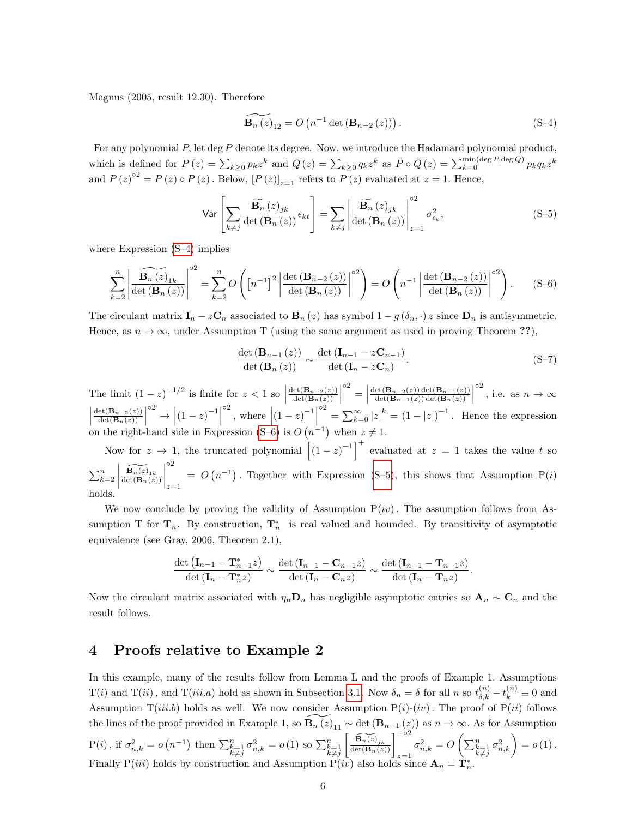Magnus (2005, result 12.30). Therefore

<span id="page-5-1"></span>
$$
\widetilde{\mathbf{B}_{n}(z)}_{12} = O\left(n^{-1}\det\left(\mathbf{B}_{n-2}(z)\right)\right). \tag{S-4}
$$

For any polynomial P, let deg P denote its degree. Now, we introduce the Hadamard polynomial product, which is defined for  $P(z) = \sum_{k\geq 0} p_k z^k$  and  $Q(z) = \sum_{k\geq 0} q_k z^k$  as  $P \circ Q(z) = \sum_{k=0}^{\min(\text{deg }P, \text{deg }Q)} p_k q_k z^k$ and  $P(z)^{02} = P(z) \circ P(z)$ . Below,  $[P(z)]_{z=1}$  refers to  $\overline{P(z)}$  evaluated at  $z = 1$ . Hence,

<span id="page-5-3"></span>
$$
\text{Var}\left[\sum_{k\neq j} \frac{\widetilde{\mathbf{B}_{n}}(z)_{jk}}{\det(\mathbf{B}_{n}(z))} \epsilon_{kt}\right] = \sum_{k\neq j} \left| \frac{\widetilde{\mathbf{B}_{n}}(z)_{jk}}{\det(\mathbf{B}_{n}(z))} \right|_{z=1}^{2} \sigma_{\epsilon_{k}}^{2},\tag{S-5}
$$

where Expression [\(S–4\)](#page-5-1) implies

<span id="page-5-2"></span>
$$
\sum_{k=2}^{n} \left| \frac{\widetilde{\mathbf{B}_{n}(z)}_{1k}}{\det(\mathbf{B}_{n}(z))} \right|^{o2} = \sum_{k=2}^{n} O\left( \left[ n^{-1} \right]^{2} \left| \frac{\det(\mathbf{B}_{n-2}(z))}{\det(\mathbf{B}_{n}(z))} \right|^{o2} \right) = O\left( n^{-1} \left| \frac{\det(\mathbf{B}_{n-2}(z))}{\det(\mathbf{B}_{n}(z))} \right|^{o2} \right).
$$
 (S-6)

The circulant matrix  $\mathbf{I}_n - z\mathbf{C}_n$  associated to  $\mathbf{B}_n(z)$  has symbol  $1 - g(\delta_n, \cdot) z$  since  $\mathbf{D}_n$  is antisymmetric. Hence, as  $n \to \infty$ , under Assumption T (using the same argument as used in proving Theorem ??),

$$
\frac{\det\left(\mathbf{B}_{n-1}\left(z\right)\right)}{\det\left(\mathbf{B}_{n}\left(z\right)\right)} \sim \frac{\det\left(\mathbf{I}_{n-1} - z\mathbf{C}_{n-1}\right)}{\det\left(\mathbf{I}_{n} - z\mathbf{C}_{n}\right)}.\tag{S-7}
$$

The limit  $(1-z)^{-1/2}$  is finite for  $z < 1$  so  $\det(\mathbf{B}_{n-2}(z))$  $\frac{\operatorname{et}(\mathbf{B}_{n-2}(z))}{\operatorname{det}(\mathbf{B}_{n}(z))}$  $\circ^2 =$  $\det(\mathbf{B}_{n-2}(z)) \det(\mathbf{B}_{n-1}(z))$  $\frac{\det(\mathbf{B}_{n-2}(z))\det(\mathbf{B}_{n-1}(z))}{\det(\mathbf{B}_{n-1}(z))\det(\mathbf{B}_n(z))}$ <sup>o2</sup>, i.e. as  $n \to \infty$  $\begin{array}{c} \begin{array}{c} \begin{array}{c} \end{array} \\ \begin{array}{c} \end{array} \end{array} \end{array}$  $\det(\mathbf{B}_{n-2}(z))$  $\frac{\operatorname{et}(\mathbf{B}_{n-2}(z))}{\operatorname{det}(\mathbf{B}_{n}(z))}$  $\left| (1-z)^{-1} \right|$ <sup>o2</sup>, where  $\left| (1-z)^{-1} \right|$  $\int_{0}^{\infty} = \sum_{k=0}^{\infty} |z|^k = (1 - |z|)^{-1}$ . Hence the expression on the right-hand side in Expression [\(S–6\)](#page-5-2) is  $O(n^{-1})$  when  $z \neq 1$ .

Now for  $z \to 1$ , the truncated polynomial  $\left[ (1-z)^{-1} \right]^+$  evaluated at  $z = 1$  takes the value t so  $\sum_{k=2}^n$  $\begin{array}{c} \hline \rule{0pt}{2.2ex} \\ \rule{0pt}{2.2ex} \end{array}$  $\widetilde{\frac{\mathbf{B}_n(z)_{1k}}{\det(\mathbf{B}_n(z))}}$  $\begin{array}{c} \hline \rule{0pt}{2.5ex} \\ \rule{0pt}{2.5ex} \end{array}$ ◦2  $z=1$  $= O(n^{-1})$ . Together with Expression [\(S–5\)](#page-5-3), this shows that Assumption P(i) holds.

We now conclude by proving the validity of Assumption  $P(iv)$ . The assumption follows from Assumption T for  $\mathbf{T}_n$ . By construction,  $\mathbf{T}_n^*$  is real valued and bounded. By transitivity of asymptotic equivalence (see Gray, 2006, Theorem 2.1),

$$
\frac{\det (\mathbf{I}_{n-1} - \mathbf{T}_{n-1}^* z)}{\det (\mathbf{I}_n - \mathbf{T}_n^* z)} \sim \frac{\det (\mathbf{I}_{n-1} - \mathbf{C}_{n-1} z)}{\det (\mathbf{I}_n - \mathbf{C}_n z)} \sim \frac{\det (\mathbf{I}_{n-1} - \mathbf{T}_{n-1} z)}{\det (\mathbf{I}_n - \mathbf{T}_n z)}.
$$

Now the circulant matrix associated with  $\eta_n \mathbf{D}_n$  has negligible asymptotic entries so  $\mathbf{A}_n \sim \mathbf{C}_n$  and the result follows.

### <span id="page-5-0"></span>4 Proofs relative to Example 2

In this example, many of the results follow from Lemma L and the proofs of Example 1. Assumptions  $T(i)$  and  $T(ii)$ , and  $T(iii.a)$  hold as shown in Subsection [3.1.](#page-3-1) Now  $\delta_n = \delta$  for all n so  $t_{\delta,k}^{(n)} - t_k^{(n)} \equiv 0$  and Assumption  $T(iii.b)$  holds as well. We now consider Assumption  $P(i)-(iv)$ . The proof of  $P(ii)$  follows the lines of the proof provided in Example 1, so  $\widetilde{\mathbf{B}_{n}(z)}_{11} \sim \det(\mathbf{B}_{n-1}(z))$  as  $n \to \infty$ . As for Assumption P(i), if  $\sigma_{n,k}^2 = o(n^{-1})$  then  $\sum_{\substack{k=1 \ k \neq j}}^n \sigma_{n,k}^2 = o(1)$  so  $\sum_{\substack{k=1 \ k \neq j}}^n$  $\left[\frac{\widetilde{\mathbf{B}_{n}(z)}_{jk}}{\det(\mathbf{B}_{n}(z))}\right]_{z=1}^{+ \circ 2}$  $\sigma_{n,k}^2 = O\left(\sum_{\substack{k=1 \ k \neq j}}^{n} \sigma_{n,k}^2\right) = o\left(1\right).$ Finally P(*iii*) holds by construction and Assumption P(*iv*) also holds since  $\mathbf{A}_n = \mathbf{T}_n^*$ .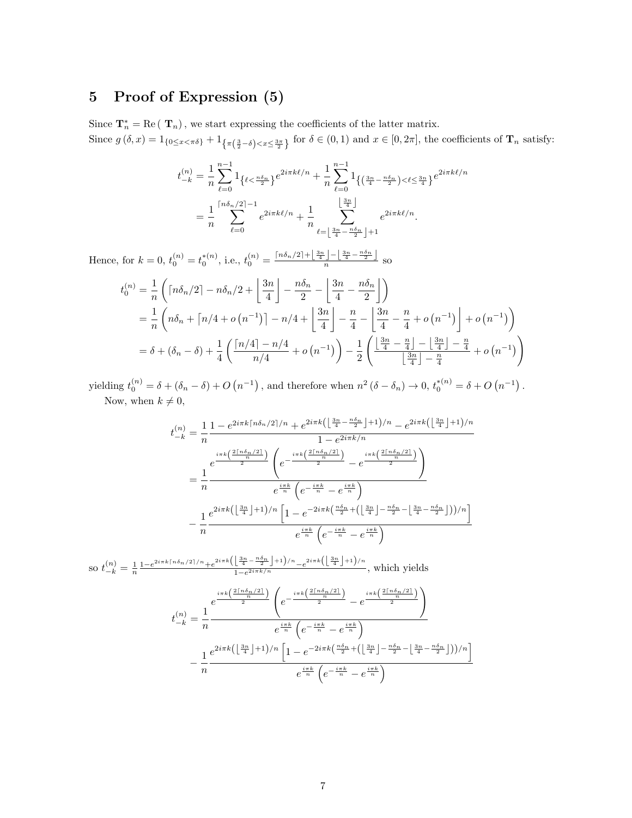# <span id="page-6-0"></span>5 Proof of Expression (5)

Since  $\mathbf{T}_n^* = \text{Re}(\mathbf{T}_n)$ , we start expressing the coefficients of the latter matrix. Since  $g(\delta, x) = 1_{\{0 \le x < \pi \delta\}} + 1_{\{\pi(\frac{3}{2} - \delta) < x \le \frac{3\pi}{2}\}}$  for  $\delta \in (0, 1)$  and  $x \in [0, 2\pi]$ , the coefficients of  $\mathbf{T}_n$  satisfy:

$$
t_{-k}^{(n)} = \frac{1}{n} \sum_{\ell=0}^{n-1} 1_{\{\ell \le \frac{n\delta_n}{2}\}} e^{2i\pi k\ell/n} + \frac{1}{n} \sum_{\ell=0}^{n-1} 1_{\{(\frac{3n}{4} - \frac{n\delta_n}{2}) < \ell \le \frac{3n}{4}\}} e^{2i\pi k\ell/n}
$$
  
= 
$$
\frac{1}{n} \sum_{\ell=0}^{\lfloor n\delta_n/2 \rfloor - 1} e^{2i\pi k\ell/n} + \frac{1}{n} \sum_{\ell=\lfloor \frac{3n}{4} - \frac{n\delta_n}{2} \rfloor + 1}^{\lfloor \frac{3n}{4} \rfloor} e^{2i\pi k\ell/n}.
$$

Hence, for  $k = 0$ ,  $t_0^{(n)} = t_0^{*(n)}$ , i.e.,  $t_0^{(n)} = \frac{\lceil n\delta_n/2 \rceil + \lfloor \frac{3n}{4} \rfloor - \lfloor \frac{3n}{4} - \frac{n\delta_n}{2} \rfloor}{n}$  so

$$
t_0^{(n)} = \frac{1}{n} \left( \left\lceil n\delta_n/2 \right\rceil - n\delta_n/2 + \left\lfloor \frac{3n}{4} \right\rfloor - \frac{n\delta_n}{2} - \left\lfloor \frac{3n}{4} - \frac{n\delta_n}{2} \right\rfloor \right)
$$
  
=  $\frac{1}{n} \left( n\delta_n + \left\lceil n/4 + o\left(n^{-1}\right) \right\rceil - n/4 + \left\lfloor \frac{3n}{4} \right\rfloor - \frac{n}{4} - \left\lfloor \frac{3n}{4} - \frac{n}{4} + o\left(n^{-1}\right) \right\rfloor + o\left(n^{-1}\right) \right)$   
=  $\delta + (\delta_n - \delta) + \frac{1}{4} \left( \frac{\left\lceil n/4 \right\rceil - n/4}{n/4} + o\left(n^{-1}\right) \right) - \frac{1}{2} \left( \frac{\left\lfloor \frac{3n}{4} - \frac{n}{4} \right\rfloor - \left\lfloor \frac{3n}{4} \right\rfloor - \frac{n}{4}}{\left\lfloor \frac{3n}{4} \right\rfloor - \frac{n}{4}} + o\left(n^{-1}\right) \right)$ 

yielding  $t_0^{(n)} = \delta + (\delta_n - \delta) + O(n^{-1})$ , and therefore when  $n^2 (\delta - \delta_n) \to 0$ ,  $t_0^{*(n)} = \delta + O(n^{-1})$ . Now, when  $k \neq 0$ ,

$$
t_{-k}^{(n)} = \frac{1}{n} \frac{1 - e^{2i\pi k \lceil n\delta_n/2 \rceil / n} + e^{2i\pi k \left( \left\lfloor \frac{3n}{4} - \frac{n\delta_n}{2} \right\rfloor + 1 \right) / n} - e^{2i\pi k \left( \left\lfloor \frac{3n}{4} \right\rfloor + 1 \right) / n}}{1 - e^{2i\pi k / n}}
$$
  

$$
= \frac{e^{\frac{i\pi k \left( \frac{2\lceil n\delta_n/2 \rceil}{n} \right)}}}{e^{\frac{i\pi k}{n} \left( e^{-\frac{i\pi k}{n} - e^{\frac{i\pi k}{n}} \right)}}}{e^{\frac{i\pi k}{n} \left( e^{-\frac{i\pi k}{n} - e^{\frac{i\pi k}{n}} \right)}}}
$$
  

$$
- \frac{1}{n} \frac{e^{2i\pi k \left( \left\lfloor \frac{3n}{4} \right\rfloor + 1 \right) / n \left[ 1 - e^{-2i\pi k \left( \frac{n\delta_n}{2} + \left( \left\lfloor \frac{3n}{4} \right\rfloor - \frac{n\delta_n}{2} - \left\lfloor \frac{3n}{4} - \frac{n\delta_n}{2} \right\rfloor \right) \right) / n} \right]}{e^{\frac{i\pi k}{n} \left( e^{-\frac{i\pi k}{n}} - e^{\frac{i\pi k}{n}} \right)}}
$$

so  $t_{-k}^{(n)} = \frac{1}{n} \frac{1 - e^{2i\pi k \lceil n \delta_n/2 \rceil / n} + e^{2i\pi k \left( \left\lfloor \frac{3n}{4} - \frac{n \delta_n}{2} \right\rfloor + 1 \right) / n}}{1 - e^{2i\pi k / n}} e^{2i\pi k \left( \left\lfloor \frac{3n}{4} \right\rfloor + 1 \right) / n}$  $\frac{1}{1-e^{2i\pi k/n}}$  –e  $\frac{(14 \text{ J} \cdot \text{m})}{n}$ , which yields  $t_{-k}^{(n)} = \frac{1}{n}$ n e  $rac{i\pi k\left(\frac{2\lceil n\delta_n/2\rceil}{n}\right)}{2}$  $e^{-\frac{i\pi k\left(\frac{2\lceil n\delta_n/2\rceil}{n}\right)}{2}}$  $\frac{1}{2}$  – e  $\frac{i\pi k\left(\frac{2\lceil n\delta_n/2\rceil}{n}\right)}{2}$  $e^{\frac{i\pi k}{n}}\left(e^{-\frac{i\pi k}{n}}-e^{\frac{i\pi k}{n}}\right)$ − 1 n  $e^{2i\pi k\left(\left\lfloor\frac{3n}{4}\right\rfloor+1\right)/n}\left[1-e^{-2i\pi k\left(\frac{n\delta_n}{2}+\left(\left\lfloor\frac{3n}{4}\right\rfloor-\frac{n\delta_n}{2}-\left\lfloor\frac{3n}{4}-\frac{n\delta_n}{2}\right\rfloor\right)\right)/n}\right]$  $e^{\frac{i\pi k}{n}}\left(e^{-\frac{i\pi k}{n}}-e^{\frac{i\pi k}{n}}\right)$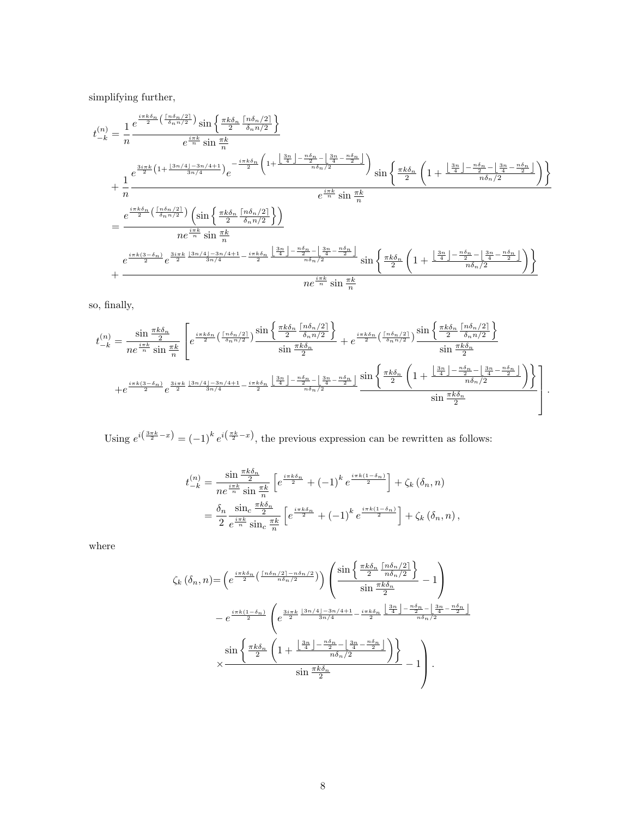simplifying further,

$$
t_{-k}^{(n)} = \frac{1}{n} \frac{e^{\frac{i\pi k \delta_n}{2} \left(\frac{\lceil n \delta_n/2 \rceil}{\delta_n n/2}\right)} \sin \left\{\frac{\pi k \delta_n}{2} \frac{\lceil n \delta_n/2 \rceil}{\delta_n n/2}\right\}}{e^{\frac{i\pi k}{n} \sin \frac{\pi k}{n}}}
$$
\n
$$
+ \frac{1}{n} \frac{e^{\frac{3i\pi k}{2} \left(1 + \frac{\lfloor 3n/4 \rfloor - 3n/4 + 1}{3n/4}\right)} e^{-\frac{i\pi k \delta_n}{2} \left(1 + \frac{\lfloor \frac{3n}{4} \rfloor - \frac{n \delta_n}{2} - \lfloor \frac{3n}{4} - \frac{n \delta_n}{2} \rfloor}{n \delta_n/2}\right)} \sin \left\{\frac{\pi k \delta_n}{2} \left(1 + \frac{\lfloor \frac{3n}{4} \rfloor - \frac{n \delta_n}{2} - \lfloor \frac{3n}{4} - \frac{n \delta_n}{2} \rfloor}{n \delta_n/2}\right)\right\}}{e^{\frac{i\pi k}{n} \sin \frac{\pi k}{n}}
$$
\n
$$
= \frac{e^{\frac{i\pi k \delta_n}{2} \left(\frac{\lceil n \delta_n/2 \rceil}{\delta_n n/2}\right)} \left(\sin \left\{\frac{\pi k \delta_n}{2} \frac{\lceil n \delta_n/2 \rceil}{\delta_n n/2}\right\}\right)}{n e^{\frac{i\pi k}{n} \sin \frac{\pi k}{n}}
$$
\n
$$
e^{\frac{i\pi k (3 - \delta_n)}{2} e^{\frac{3i\pi k}{2} \frac{\lfloor 3n/4 \rfloor - 3n/4 + 1}{3n/4} - \frac{i\pi k \delta_n}{2} \frac{\lfloor \frac{3n}{4} \rfloor - \frac{n \delta_n}{2} - \lfloor \frac{3n}{4} - \frac{n \delta_n}{2} \rfloor}{n \delta_n/2}} \sin \left\{\frac{\pi k \delta_n}{2} \left(1 + \frac{\lfloor \frac{3n}{4} \rfloor - \frac{n \delta_n}{2} - \lfloor \frac{3n}{4} - \frac{n \delta_n}{2} \rfloor}{n \delta_n/2}\right)\right\}}{n e^{\frac{i\pi k}{n} \sin \frac{\pi k}{n}}
$$
\n
$$
+ \
$$

so, finally,

$$
t_{-k}^{(n)} = \frac{\sin\frac{\pi k \delta_n}{2}}{ne^{\frac{i\pi k}{n}}\sin\frac{\pi k}{n}} \left[ e^{\frac{i\pi k \delta_n}{2} \left(\frac{\lceil n\delta_n/2\rceil}{\delta_n n/2}\right)} \frac{\sin\left\{\frac{\pi k \delta_n}{2} \frac{\lceil n\delta_n/2\rceil}{\delta_n n/2}\right\}}{\sin\frac{\pi k \delta_n}{2}} + e^{\frac{i\pi k \delta_n}{2} \left(\frac{\lceil n\delta_n/2\rceil}{\delta_n n/2}\right)} \frac{\sin\left\{\frac{\pi k \delta_n}{2} \frac{\lceil n\delta_n/2\rceil}{\delta_n n/2}\right\}}{\sin\frac{\pi k \delta_n}{2}} \frac{\sin\frac{\pi k \delta_n}{2}}{\sin\frac{\pi k \delta_n}{2}} \right\}
$$

$$
+ e^{\frac{i\pi k(3-\delta_n)}{2}} e^{\frac{3i\pi k}{2} \frac{\lceil 3n/4\rceil - 3n/4 + 1}{3n/4} - \frac{i\pi k \delta_n}{2} \frac{\lceil \frac{3n}{4} \rceil - \frac{n\delta_n}{2} - \lfloor \frac{3n}{4} - \frac{n\delta_n}{2} \rfloor}{n\delta_n/2}} \frac{\sin\left\{\frac{\pi k \delta_n}{2} \left(1 + \frac{\lfloor \frac{3n}{4} \rfloor - \frac{n\delta_n}{2} - \lfloor \frac{3n}{4} - \frac{n\delta_n}{2} \rfloor}{n\delta_n/2}\right)\right\}}{\sin\frac{\pi k \delta_n}{2}} \right].
$$

Using  $e^{i(\frac{3\pi k}{2}-x)} = (-1)^k e^{i(\frac{\pi k}{2}-x)}$ , the previous expression can be rewritten as follows:

$$
t_{-k}^{(n)} = \frac{\sin\frac{\pi k \delta_n}{2}}{n e^{\frac{i\pi k}{n}} \sin\frac{\pi k}{n}} \left[ e^{\frac{i\pi k \delta_n}{2}} + (-1)^k e^{\frac{i\pi k(1-\delta_n)}{2}} \right] + \zeta_k(\delta_n, n)
$$
  
= 
$$
\frac{\delta_n}{2} \frac{\sin_c \frac{\pi k \delta_n}{2}}{e^{\frac{i\pi k}{n}} \sin_c \frac{\pi k}{n}} \left[ e^{\frac{i\pi k \delta_n}{2}} + (-1)^k e^{\frac{i\pi k(1-\delta_n)}{2}} \right] + \zeta_k(\delta_n, n),
$$

where

$$
\zeta_k\left(\delta_n, n\right) = \left(e^{\frac{i\pi k \delta_n}{2}\left(\frac{\lceil n\delta_n/2\rceil - n\delta_n/2}{n\delta_n/2}\right)}\right) \left(\frac{\sin\left\{\frac{\pi k \delta_n}{2}\frac{\lceil n\delta_n/2\rceil}{n\delta_n/2}\right\}}{\sin\frac{\pi k \delta_n}{2}} - 1\right)
$$

$$
-e^{\frac{i\pi k(1-\delta_n)}{2}} \left(e^{\frac{3i\pi k}{2}\frac{\lfloor 3n/4\rfloor - 3n/4 + 1}{3n/4} - \frac{i\pi k \delta_n}{2}\frac{\lfloor \frac{3n}{4}\rfloor - \frac{n\delta_n}{2} - \lfloor \frac{3n}{4} - \frac{n\delta_n}{2} \rfloor}{n\delta_n/2}}\right)
$$

$$
\times \frac{\sin\left\{\frac{\pi k \delta_n}{2}\left(1 + \frac{\lfloor \frac{3n}{4}\rfloor - \frac{n\delta_n}{2} - \lfloor \frac{3n}{4} - \frac{n\delta_n}{2} \rfloor}{n\delta_n/2}\right)\right\}}{\sin\frac{\pi k \delta_n}{2}} - 1\right).
$$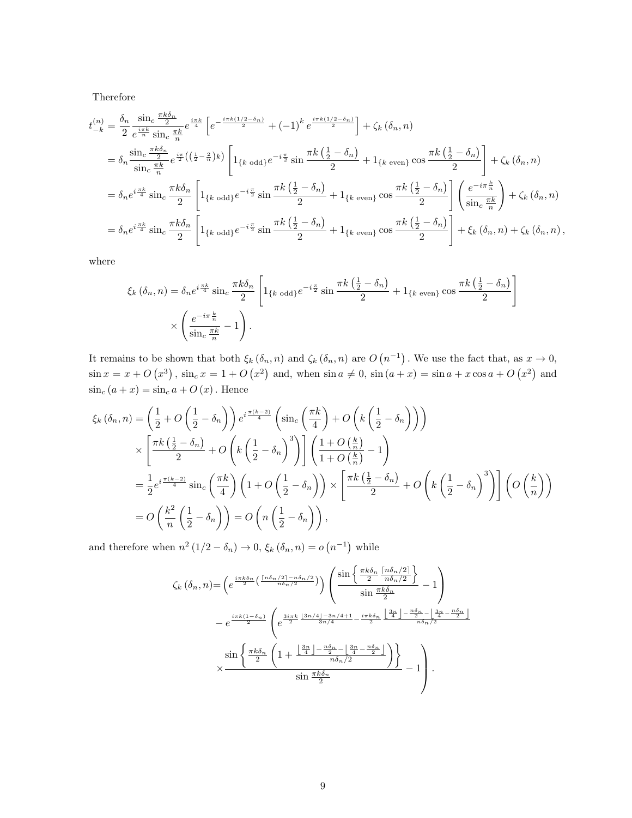Therefore

$$
t_{-k}^{(n)} = \frac{\delta_n}{2} \frac{\sin_c \frac{\pi k \delta_n}{2}}{e^{\frac{i\pi k}{n}} \sin_c \frac{\pi k}{n}} e^{\frac{i\pi k}{4}} \left[ e^{-\frac{i\pi k (1/2 - \delta_n)}{2}} + (-1)^k e^{\frac{i\pi k (1/2 - \delta_n)}{2}} \right] + \zeta_k (\delta_n, n)
$$
  
\n
$$
= \delta_n \frac{\sin_c \frac{\pi k \delta_n}{2}}{\sin_c \frac{\pi k}{n}} e^{\frac{i\pi}{2} \left( \left( \frac{1}{2} - \frac{2}{n} \right) k \right)} \left[ 1_{\{k \text{ odd}\}} e^{-i\frac{\pi}{2}} \sin \frac{\pi k \left( \frac{1}{2} - \delta_n \right)}{2} + 1_{\{k \text{ even}\}} \cos \frac{\pi k \left( \frac{1}{2} - \delta_n \right)}{2} \right] + \zeta_k (\delta_n, n)
$$
  
\n
$$
= \delta_n e^{i\frac{\pi k}{4}} \sin_c \frac{\pi k \delta_n}{2} \left[ 1_{\{k \text{ odd}\}} e^{-i\frac{\pi}{2}} \sin \frac{\pi k \left( \frac{1}{2} - \delta_n \right)}{2} + 1_{\{k \text{ even}\}} \cos \frac{\pi k \left( \frac{1}{2} - \delta_n \right)}{2} \right] \left( \frac{e^{-i\pi \frac{k}{n}}}{\sin_c \frac{\pi k}{n}} \right) + \zeta_k (\delta_n, n)
$$
  
\n
$$
= \delta_n e^{i\frac{\pi k}{4}} \sin_c \frac{\pi k \delta_n}{2} \left[ 1_{\{k \text{ odd}\}} e^{-i\frac{\pi}{2}} \sin \frac{\pi k \left( \frac{1}{2} - \delta_n \right)}{2} + 1_{\{k \text{ even}\}} \cos \frac{\pi k \left( \frac{1}{2} - \delta_n \right)}{2} \right] + \xi_k (\delta_n, n) + \zeta_k (\delta_n, n),
$$

where

$$
\xi_k(\delta_n, n) = \delta_n e^{i\frac{\pi k}{4}} \sin_c \frac{\pi k \delta_n}{2} \left[ 1_{\{k \text{ odd}\}} e^{-i\frac{\pi}{2}} \sin \frac{\pi k \left(\frac{1}{2} - \delta_n\right)}{2} + 1_{\{k \text{ even}\}} \cos \frac{\pi k \left(\frac{1}{2} - \delta_n\right)}{2} \right]
$$

$$
\times \left( \frac{e^{-i\pi \frac{k}{n}}}{\sin_c \frac{\pi k}{n}} - 1 \right).
$$

It remains to be shown that both  $\xi_k(\delta_n, n)$  and  $\zeta_k(\delta_n, n)$  are  $O(n^{-1})$ . We use the fact that, as  $x \to 0$ ,  $\sin x = x + O(x^3)$ ,  $\sin_c x = 1 + O(x^2)$  and, when  $\sin a \neq 0$ ,  $\sin (a + x) = \sin a + x \cos a + O(x^2)$  and  $\sin_{c}(a+x) = \sin_{c} a + O(x)$ . Hence

$$
\xi_{k}(\delta_{n}, n) = \left(\frac{1}{2} + O\left(\frac{1}{2} - \delta_{n}\right)\right) e^{i\frac{\pi(k-2)}{4}} \left(\sin_{c}\left(\frac{\pi k}{4}\right) + O\left(k\left(\frac{1}{2} - \delta_{n}\right)\right)\right)
$$
  

$$
\times \left[\frac{\pi k\left(\frac{1}{2} - \delta_{n}\right)}{2} + O\left(k\left(\frac{1}{2} - \delta_{n}\right)^{3}\right)\right] \left(\frac{1 + O\left(\frac{k}{n}\right)}{1 + O\left(\frac{k}{n}\right)} - 1\right)
$$
  

$$
= \frac{1}{2} e^{i\frac{\pi(k-2)}{4}} \sin_{c}\left(\frac{\pi k}{4}\right) \left(1 + O\left(\frac{1}{2} - \delta_{n}\right)\right) \times \left[\frac{\pi k\left(\frac{1}{2} - \delta_{n}\right)}{2} + O\left(k\left(\frac{1}{2} - \delta_{n}\right)^{3}\right)\right] \left(O\left(\frac{k}{n}\right)\right)
$$
  

$$
= O\left(\frac{k^{2}}{n}\left(\frac{1}{2} - \delta_{n}\right)\right) = O\left(n\left(\frac{1}{2} - \delta_{n}\right)\right),
$$

and therefore when  $n^2(1/2 - \delta_n) \to 0$ ,  $\xi_k(\delta_n, n) = o(n^{-1})$  while

$$
\zeta_{k}(\delta_{n}, n) = \left(e^{\frac{i\pi k \delta_{n}}{2}\left(\frac{\lceil n \delta_{n}/2 \rceil - n \delta_{n}/2}{n \delta_{n}/2}\right)}\right) \left(\frac{\sin\left\{\frac{\pi k \delta_{n}}{2}\frac{\lceil n \delta_{n}/2 \rceil}{n \delta_{n}/2}\right\}}{\sin\frac{\pi k \delta_{n}}{2}} - 1\right)
$$

$$
- e^{\frac{i\pi k(1-\delta_{n})}{2}} \left(e^{\frac{3i\pi k}{2}\frac{\lfloor 3n/4 \rfloor - 3n/4 + 1}{3n/4} - \frac{i\pi k \delta_{n}}{2}\frac{\lfloor \frac{3n}{4} \rfloor - \frac{n \delta_{n}}{2} - \lfloor \frac{3n}{4} - \frac{n \delta_{n}}{2} \rfloor}{n \delta_{n}/2}}\right)
$$

$$
\times \frac{\sin\left\{\frac{\pi k \delta_{n}}{2}\left(1 + \frac{\lfloor \frac{3n}{4} \rfloor - \frac{n \delta_{n}}{2} - \lfloor \frac{3n}{4} - \frac{n \delta_{n}}{2} \rfloor}{n \delta_{n}/2}\right)\right\}}{\sin\frac{\pi k \delta_{n}}{2}} - 1\right).
$$